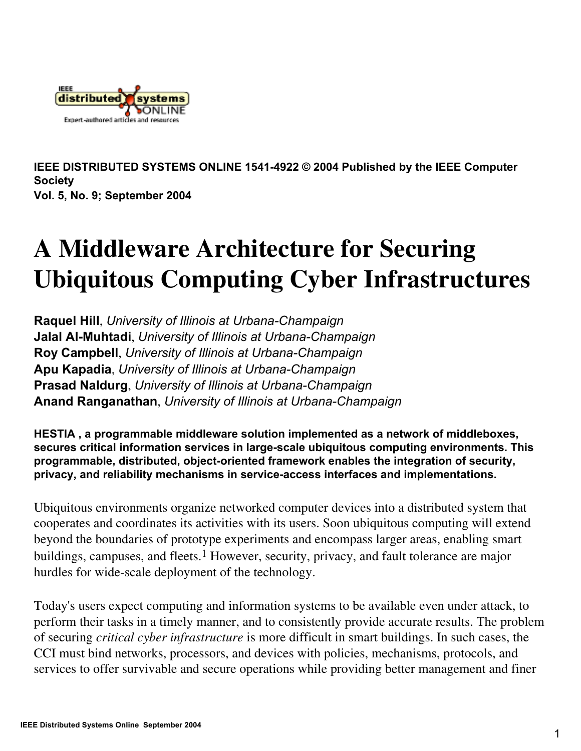

**IEEE DISTRIBUTED SYSTEMS ONLINE 1541-4922 © 2004 Published by the IEEE Computer Society Vol. 5, No. 9; September 2004**

# **A Middleware Architecture for Securing Ubiquitous Computing Cyber Infrastructures**

**Raquel Hill**, *University of Illinois at Urbana-Champaign* **Jalal Al-Muhtadi**, *University of Illinois at Urbana-Champaign* **Roy Campbell**, *University of Illinois at Urbana-Champaign* **Apu Kapadia**, *University of Illinois at Urbana-Champaign* **Prasad Naldurg**, *University of Illinois at Urbana-Champaign* **Anand Ranganathan**, *University of Illinois at Urbana-Champaign*

**HESTIA , a programmable middleware solution implemented as a network of middleboxes, secures critical information services in large-scale ubiquitous computing environments. This programmable, distributed, object-oriented framework enables the integration of security, privacy, and reliability mechanisms in service-access interfaces and implementations.**

Ubiquitous environments organize networked computer devices into a distributed system that cooperates and coordinates its activities with its users. Soon ubiquitous computing will extend beyond the boundaries of prototype experiments and encompass larger areas, enabling smart buildings, campuses, and fleets.<sup>1</sup> However, security, privacy, and fault tolerance are major hurdles for wide-scale deployment of the technology.

Today's users expect computing and information systems to be available even under attack, to perform their tasks in a timely manner, and to consistently provide accurate results. The problem of securing *critical cyber infrastructure* is more difficult in smart buildings. In such cases, the CCI must bind networks, processors, and devices with policies, mechanisms, protocols, and services to offer survivable and secure operations while providing better management and finer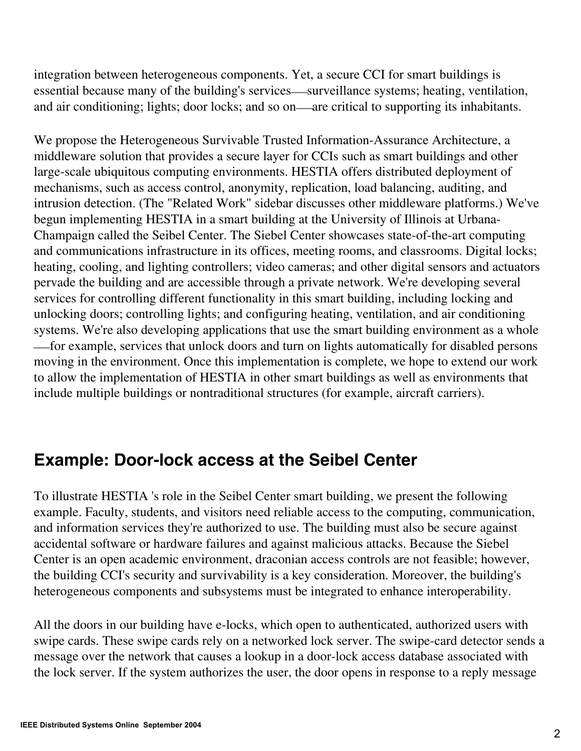integration between heterogeneous components. Yet, a secure CCI for smart buildings is essential because many of the building's services—surveillance systems; heating, ventilation, and air conditioning; lights; door locks; and so on—are critical to supporting its inhabitants.

We propose the Heterogeneous Survivable Trusted Information-Assurance Architecture, a middleware solution that provides a secure layer for CCIs such as smart buildings and other large-scale ubiquitous computing environments. HESTIA offers distributed deployment of mechanisms, such as access control, anonymity, replication, load balancing, auditing, and intrusion detection. (The "Related Work" sidebar discusses other middleware platforms.) We've begun implementing HESTIA in a smart building at the University of Illinois at Urbana-Champaign called the Seibel Center. The Siebel Center showcases state-of-the-art computing and communications infrastructure in its offices, meeting rooms, and classrooms. Digital locks; heating, cooling, and lighting controllers; video cameras; and other digital sensors and actuators pervade the building and are accessible through a private network. We're developing several services for controlling different functionality in this smart building, including locking and unlocking doors; controlling lights; and configuring heating, ventilation, and air conditioning systems. We're also developing applications that use the smart building environment as a whole for example, services that unlock doors and turn on lights automatically for disabled persons moving in the environment. Once this implementation is complete, we hope to extend our work to allow the implementation of HESTIA in other smart buildings as well as environments that include multiple buildings or nontraditional structures (for example, aircraft carriers).

## **Example: Door-lock access at the Seibel Center**

To illustrate HESTIA 's role in the Seibel Center smart building, we present the following example. Faculty, students, and visitors need reliable access to the computing, communication, and information services they're authorized to use. The building must also be secure against accidental software or hardware failures and against malicious attacks. Because the Siebel Center is an open academic environment, draconian access controls are not feasible; however, the building CCI's security and survivability is a key consideration. Moreover, the building's heterogeneous components and subsystems must be integrated to enhance interoperability.

All the doors in our building have e-locks, which open to authenticated, authorized users with swipe cards. These swipe cards rely on a networked lock server. The swipe-card detector sends a message over the network that causes a lookup in a door-lock access database associated with the lock server. If the system authorizes the user, the door opens in response to a reply message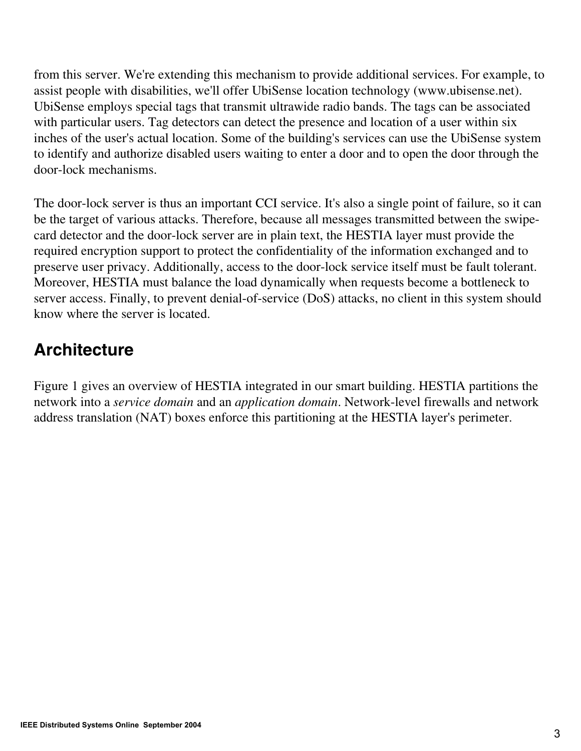from this server. We're extending this mechanism to provide additional services. For example, to assist people with disabilities, we'll offer UbiSense location technology (www.ubisense.net). UbiSense employs special tags that transmit ultrawide radio bands. The tags can be associated with particular users. Tag detectors can detect the presence and location of a user within six inches of the user's actual location. Some of the building's services can use the UbiSense system to identify and authorize disabled users waiting to enter a door and to open the door through the door-lock mechanisms.

The door-lock server is thus an important CCI service. It's also a single point of failure, so it can be the target of various attacks. Therefore, because all messages transmitted between the swipecard detector and the door-lock server are in plain text, the HESTIA layer must provide the required encryption support to protect the confidentiality of the information exchanged and to preserve user privacy. Additionally, access to the door-lock service itself must be fault tolerant. Moreover, HESTIA must balance the load dynamically when requests become a bottleneck to server access. Finally, to prevent denial-of-service (DoS) attacks, no client in this system should know where the server is located.

## **Architecture**

Figure 1 gives an overview of HESTIA integrated in our smart building. HESTIA partitions the network into a *service domain* and an *application domain*. Network-level firewalls and network address translation (NAT) boxes enforce this partitioning at the HESTIA layer's perimeter.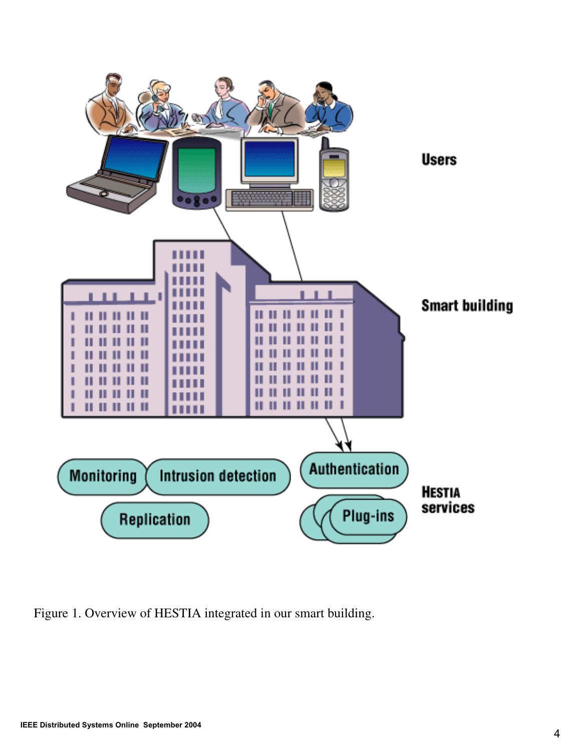

Figure 1. Overview of HESTIA integrated in our smart building.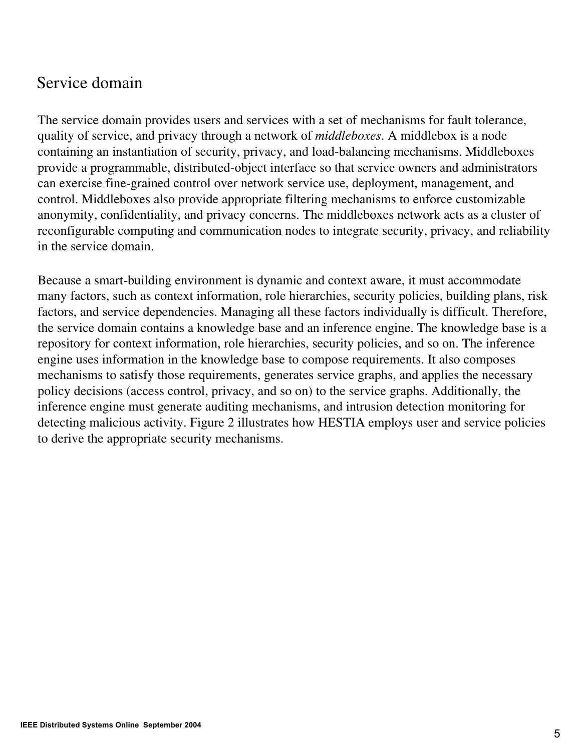#### Service domain

The service domain provides users and services with a set of mechanisms for fault tolerance, quality of service, and privacy through a network of *middleboxes*. A middlebox is a node containing an instantiation of security, privacy, and load-balancing mechanisms. Middleboxes provide a programmable, distributed-object interface so that service owners and administrators can exercise fine-grained control over network service use, deployment, management, and control. Middleboxes also provide appropriate filtering mechanisms to enforce customizable anonymity, confidentiality, and privacy concerns. The middleboxes network acts as a cluster of reconfigurable computing and communication nodes to integrate security, privacy, and reliability in the service domain.

Because a smart-building environment is dynamic and context aware, it must accommodate many factors, such as context information, role hierarchies, security policies, building plans, risk factors, and service dependencies. Managing all these factors individually is difficult. Therefore, the service domain contains a knowledge base and an inference engine. The knowledge base is a repository for context information, role hierarchies, security policies, and so on. The inference engine uses information in the knowledge base to compose requirements. It also composes mechanisms to satisfy those requirements, generates service graphs, and applies the necessary policy decisions (access control, privacy, and so on) to the service graphs. Additionally, the inference engine must generate auditing mechanisms, and intrusion detection monitoring for detecting malicious activity. Figure 2 illustrates how HESTIA employs user and service policies to derive the appropriate security mechanisms.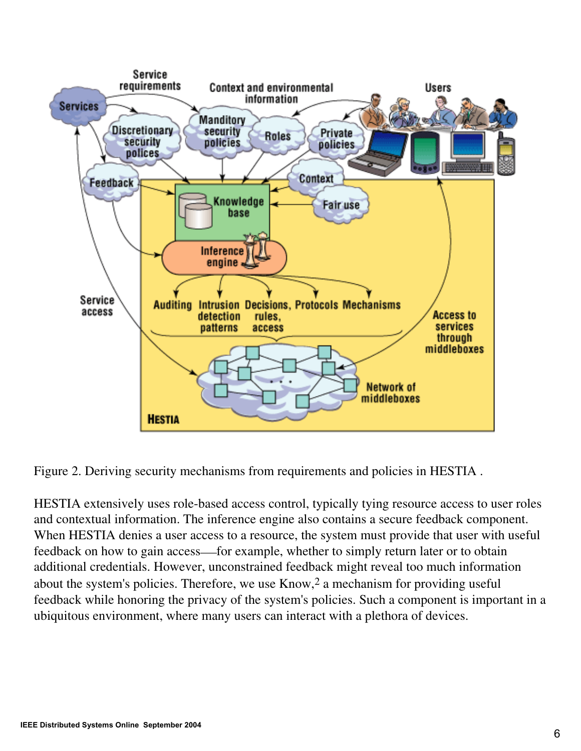

Figure 2. Deriving security mechanisms from requirements and policies in HESTIA .

HESTIA extensively uses role-based access control, typically tying resource access to user roles and contextual information. The inference engine also contains a secure feedback component. When HESTIA denies a user access to a resource, the system must provide that user with useful feedback on how to gain access—for example, whether to simply return later or to obtain additional credentials. However, unconstrained feedback might reveal too much information about the system's policies. Therefore, we use Know,2 a mechanism for providing useful feedback while honoring the privacy of the system's policies. Such a component is important in a ubiquitous environment, where many users can interact with a plethora of devices.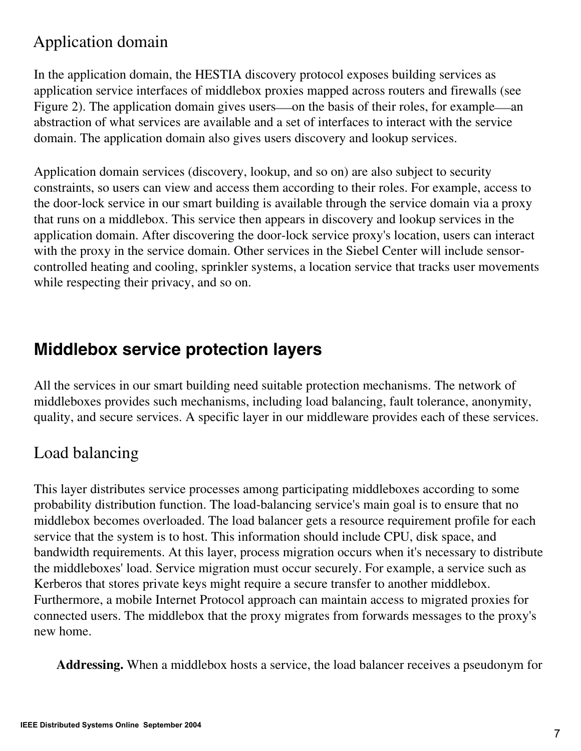## Application domain

In the application domain, the HESTIA discovery protocol exposes building services as application service interfaces of middlebox proxies mapped across routers and firewalls (see Figure 2). The application domain gives users—on the basis of their roles, for example—an abstraction of what services are available and a set of interfaces to interact with the service domain. The application domain also gives users discovery and lookup services.

Application domain services (discovery, lookup, and so on) are also subject to security constraints, so users can view and access them according to their roles. For example, access to the door-lock service in our smart building is available through the service domain via a proxy that runs on a middlebox. This service then appears in discovery and lookup services in the application domain. After discovering the door-lock service proxy's location, users can interact with the proxy in the service domain. Other services in the Siebel Center will include sensorcontrolled heating and cooling, sprinkler systems, a location service that tracks user movements while respecting their privacy, and so on.

## **Middlebox service protection layers**

All the services in our smart building need suitable protection mechanisms. The network of middleboxes provides such mechanisms, including load balancing, fault tolerance, anonymity, quality, and secure services. A specific layer in our middleware provides each of these services.

#### Load balancing

This layer distributes service processes among participating middleboxes according to some probability distribution function. The load-balancing service's main goal is to ensure that no middlebox becomes overloaded. The load balancer gets a resource requirement profile for each service that the system is to host. This information should include CPU, disk space, and bandwidth requirements. At this layer, process migration occurs when it's necessary to distribute the middleboxes' load. Service migration must occur securely. For example, a service such as Kerberos that stores private keys might require a secure transfer to another middlebox. Furthermore, a mobile Internet Protocol approach can maintain access to migrated proxies for connected users. The middlebox that the proxy migrates from forwards messages to the proxy's new home.

**Addressing.** When a middlebox hosts a service, the load balancer receives a pseudonym for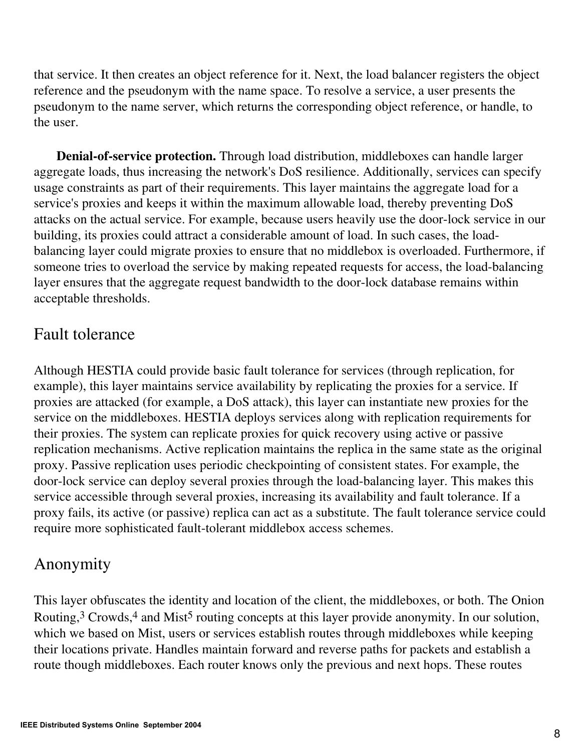that service. It then creates an object reference for it. Next, the load balancer registers the object reference and the pseudonym with the name space. To resolve a service, a user presents the pseudonym to the name server, which returns the corresponding object reference, or handle, to the user.

**Denial-of-service protection.** Through load distribution, middleboxes can handle larger aggregate loads, thus increasing the network's DoS resilience. Additionally, services can specify usage constraints as part of their requirements. This layer maintains the aggregate load for a service's proxies and keeps it within the maximum allowable load, thereby preventing DoS attacks on the actual service. For example, because users heavily use the door-lock service in our building, its proxies could attract a considerable amount of load. In such cases, the loadbalancing layer could migrate proxies to ensure that no middlebox is overloaded. Furthermore, if someone tries to overload the service by making repeated requests for access, the load-balancing layer ensures that the aggregate request bandwidth to the door-lock database remains within acceptable thresholds.

#### Fault tolerance

Although HESTIA could provide basic fault tolerance for services (through replication, for example), this layer maintains service availability by replicating the proxies for a service. If proxies are attacked (for example, a DoS attack), this layer can instantiate new proxies for the service on the middleboxes. HESTIA deploys services along with replication requirements for their proxies. The system can replicate proxies for quick recovery using active or passive replication mechanisms. Active replication maintains the replica in the same state as the original proxy. Passive replication uses periodic checkpointing of consistent states. For example, the door-lock service can deploy several proxies through the load-balancing layer. This makes this service accessible through several proxies, increasing its availability and fault tolerance. If a proxy fails, its active (or passive) replica can act as a substitute. The fault tolerance service could require more sophisticated fault-tolerant middlebox access schemes.

## Anonymity

This layer obfuscates the identity and location of the client, the middleboxes, or both. The Onion Routing,<sup>3</sup> Crowds,<sup>4</sup> and Mist<sup>5</sup> routing concepts at this layer provide anonymity. In our solution, which we based on Mist, users or services establish routes through middleboxes while keeping their locations private. Handles maintain forward and reverse paths for packets and establish a route though middleboxes. Each router knows only the previous and next hops. These routes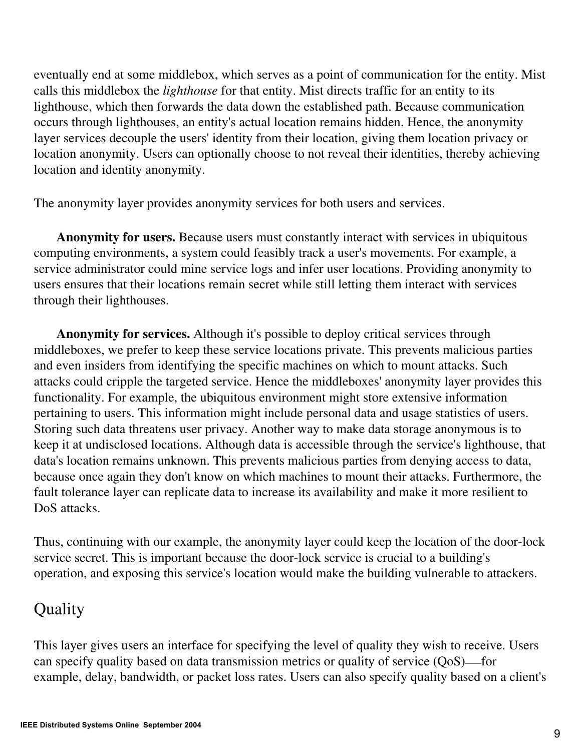eventually end at some middlebox, which serves as a point of communication for the entity. Mist calls this middlebox the *lighthouse* for that entity. Mist directs traffic for an entity to its lighthouse, which then forwards the data down the established path. Because communication occurs through lighthouses, an entity's actual location remains hidden. Hence, the anonymity layer services decouple the users' identity from their location, giving them location privacy or location anonymity. Users can optionally choose to not reveal their identities, thereby achieving location and identity anonymity.

The anonymity layer provides anonymity services for both users and services.

**Anonymity for users.** Because users must constantly interact with services in ubiquitous computing environments, a system could feasibly track a user's movements. For example, a service administrator could mine service logs and infer user locations. Providing anonymity to users ensures that their locations remain secret while still letting them interact with services through their lighthouses.

**Anonymity for services.** Although it's possible to deploy critical services through middleboxes, we prefer to keep these service locations private. This prevents malicious parties and even insiders from identifying the specific machines on which to mount attacks. Such attacks could cripple the targeted service. Hence the middleboxes' anonymity layer provides this functionality. For example, the ubiquitous environment might store extensive information pertaining to users. This information might include personal data and usage statistics of users. Storing such data threatens user privacy. Another way to make data storage anonymous is to keep it at undisclosed locations. Although data is accessible through the service's lighthouse, that data's location remains unknown. This prevents malicious parties from denying access to data, because once again they don't know on which machines to mount their attacks. Furthermore, the fault tolerance layer can replicate data to increase its availability and make it more resilient to DoS attacks.

Thus, continuing with our example, the anonymity layer could keep the location of the door-lock service secret. This is important because the door-lock service is crucial to a building's operation, and exposing this service's location would make the building vulnerable to attackers.

## **Quality**

This layer gives users an interface for specifying the level of quality they wish to receive. Users can specify quality based on data transmission metrics or quality of service  $(QoS)$ —for example, delay, bandwidth, or packet loss rates. Users can also specify quality based on a client's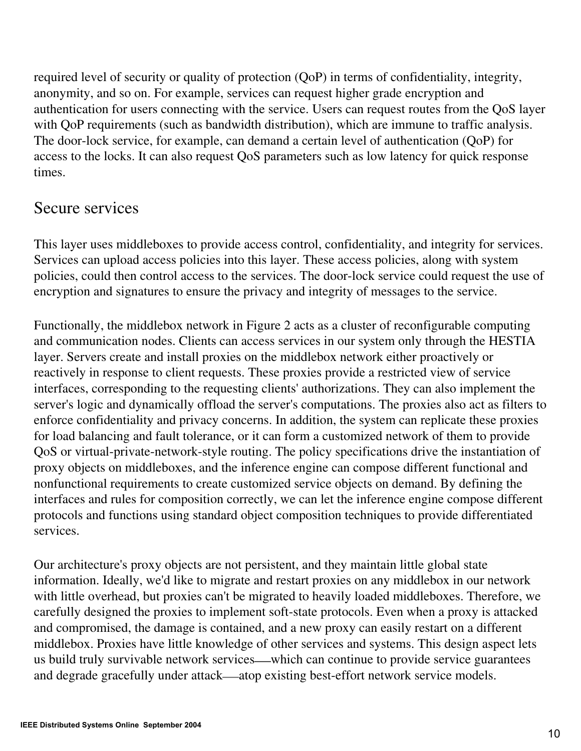required level of security or quality of protection (QoP) in terms of confidentiality, integrity, anonymity, and so on. For example, services can request higher grade encryption and authentication for users connecting with the service. Users can request routes from the QoS layer with QoP requirements (such as bandwidth distribution), which are immune to traffic analysis. The door-lock service, for example, can demand a certain level of authentication (QoP) for access to the locks. It can also request QoS parameters such as low latency for quick response times.

#### Secure services

This layer uses middleboxes to provide access control, confidentiality, and integrity for services. Services can upload access policies into this layer. These access policies, along with system policies, could then control access to the services. The door-lock service could request the use of encryption and signatures to ensure the privacy and integrity of messages to the service.

Functionally, the middlebox network in Figure 2 acts as a cluster of reconfigurable computing and communication nodes. Clients can access services in our system only through the HESTIA layer. Servers create and install proxies on the middlebox network either proactively or reactively in response to client requests. These proxies provide a restricted view of service interfaces, corresponding to the requesting clients' authorizations. They can also implement the server's logic and dynamically offload the server's computations. The proxies also act as filters to enforce confidentiality and privacy concerns. In addition, the system can replicate these proxies for load balancing and fault tolerance, or it can form a customized network of them to provide QoS or virtual-private-network-style routing. The policy specifications drive the instantiation of proxy objects on middleboxes, and the inference engine can compose different functional and nonfunctional requirements to create customized service objects on demand. By defining the interfaces and rules for composition correctly, we can let the inference engine compose different protocols and functions using standard object composition techniques to provide differentiated services.

Our architecture's proxy objects are not persistent, and they maintain little global state information. Ideally, we'd like to migrate and restart proxies on any middlebox in our network with little overhead, but proxies can't be migrated to heavily loaded middleboxes. Therefore, we carefully designed the proxies to implement soft-state protocols. Even when a proxy is attacked and compromised, the damage is contained, and a new proxy can easily restart on a different middlebox. Proxies have little knowledge of other services and systems. This design aspect lets us build truly survivable network services—which can continue to provide service guarantees and degrade gracefully under attack—atop existing best-effort network service models.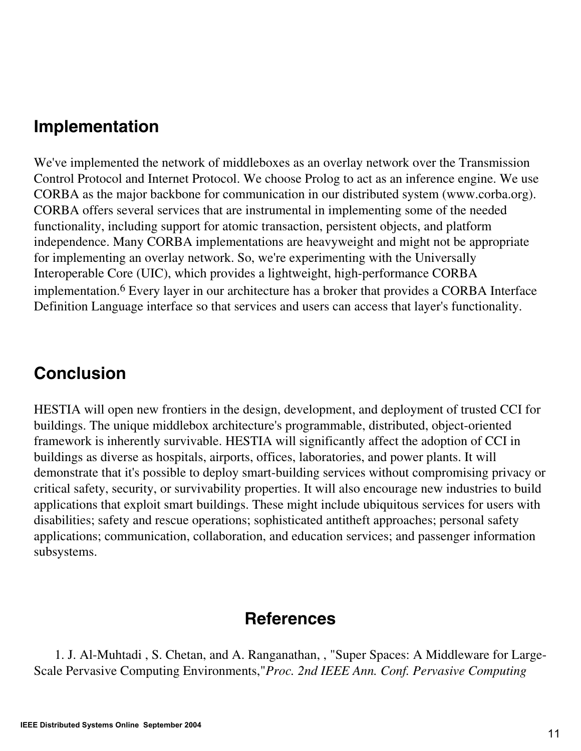#### **Implementation**

We've implemented the network of middleboxes as an overlay network over the Transmission Control Protocol and Internet Protocol. We choose Prolog to act as an inference engine. We use CORBA as the major backbone for communication in our distributed system (www.corba.org). CORBA offers several services that are instrumental in implementing some of the needed functionality, including support for atomic transaction, persistent objects, and platform independence. Many CORBA implementations are heavyweight and might not be appropriate for implementing an overlay network. So, we're experimenting with the Universally Interoperable Core (UIC), which provides a lightweight, high-performance CORBA implementation.6 Every layer in our architecture has a broker that provides a CORBA Interface Definition Language interface so that services and users can access that layer's functionality.

## **Conclusion**

HESTIA will open new frontiers in the design, development, and deployment of trusted CCI for buildings. The unique middlebox architecture's programmable, distributed, object-oriented framework is inherently survivable. HESTIA will significantly affect the adoption of CCI in buildings as diverse as hospitals, airports, offices, laboratories, and power plants. It will demonstrate that it's possible to deploy smart-building services without compromising privacy or critical safety, security, or survivability properties. It will also encourage new industries to build applications that exploit smart buildings. These might include ubiquitous services for users with disabilities; safety and rescue operations; sophisticated antitheft approaches; personal safety applications; communication, collaboration, and education services; and passenger information subsystems.

#### **References**

1. J. Al-Muhtadi , S. Chetan, and A. Ranganathan, , "Super Spaces: A Middleware for Large-Scale Pervasive Computing Environments,"*Proc. 2nd IEEE Ann. Conf. Pervasive Computing*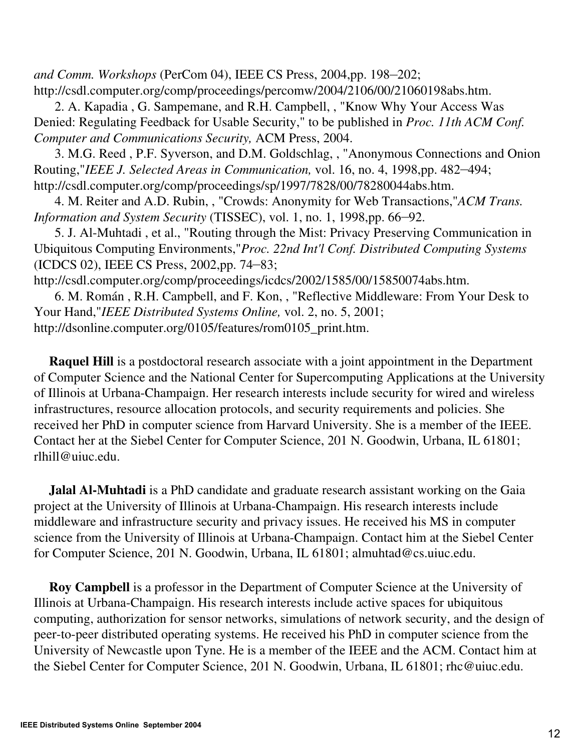*and Comm. Workshops* (PerCom 04), IEEE CS Press, 2004,pp. 198–202; http://csdl.computer.org/comp/proceedings/percomw/2004/2106/00/21060198abs.htm.

2. A. Kapadia , G. Sampemane, and R.H. Campbell, , "Know Why Your Access Was Denied: Regulating Feedback for Usable Security," to be published in *Proc. 11th ACM Conf. Computer and Communications Security,* ACM Press, 2004.

3. M.G. Reed , P.F. Syverson, and D.M. Goldschlag, , "Anonymous Connections and Onion Routing,"*IEEE J. Selected Areas in Communication*, vol. 16, no. 4, 1998,pp. 482–494; http://csdl.computer.org/comp/proceedings/sp/1997/7828/00/78280044abs.htm.

4. M. Reiter and A.D. Rubin, , "Crowds: Anonymity for Web Transactions,"*ACM Trans. Information and System Security* (TISSEC), vol. 1, no. 1, 1998,pp. 66–92.

5. J. Al-Muhtadi , et al., "Routing through the Mist: Privacy Preserving Communication in Ubiquitous Computing Environments,"*Proc. 22nd Int'l Conf. Distributed Computing Systems* (ICDCS 02), IEEE CS Press, 2002,pp. 74–83;

http://csdl.computer.org/comp/proceedings/icdcs/2002/1585/00/15850074abs.htm.

6. M. Román , R.H. Campbell, and F. Kon, , "Reflective Middleware: From Your Desk to Your Hand,"*IEEE Distributed Systems Online,* vol. 2, no. 5, 2001; http://dsonline.computer.org/0105/features/rom0105\_print.htm.

**Raquel Hill** is a postdoctoral research associate with a joint appointment in the Department of Computer Science and the National Center for Supercomputing Applications at the University of Illinois at Urbana-Champaign. Her research interests include security for wired and wireless infrastructures, resource allocation protocols, and security requirements and policies. She received her PhD in computer science from Harvard University. She is a member of the IEEE. Contact her at the Siebel Center for Computer Science, 201 N. Goodwin, Urbana, IL 61801; rlhill@uiuc.edu.

**Jalal Al-Muhtadi** is a PhD candidate and graduate research assistant working on the Gaia project at the University of Illinois at Urbana-Champaign. His research interests include middleware and infrastructure security and privacy issues. He received his MS in computer science from the University of Illinois at Urbana-Champaign. Contact him at the Siebel Center for Computer Science, 201 N. Goodwin, Urbana, IL 61801; almuhtad@cs.uiuc.edu.

**Roy Campbell** is a professor in the Department of Computer Science at the University of Illinois at Urbana-Champaign. His research interests include active spaces for ubiquitous computing, authorization for sensor networks, simulations of network security, and the design of peer-to-peer distributed operating systems. He received his PhD in computer science from the University of Newcastle upon Tyne. He is a member of the IEEE and the ACM. Contact him at the Siebel Center for Computer Science, 201 N. Goodwin, Urbana, IL 61801; rhc@uiuc.edu.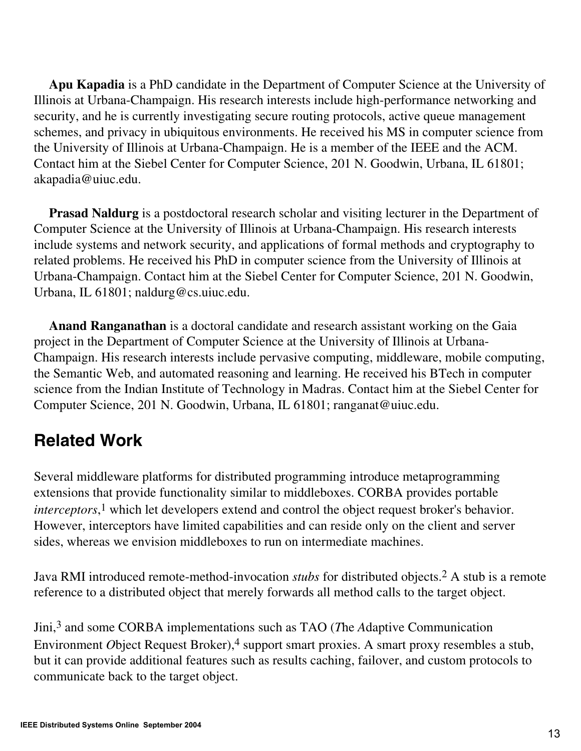**Apu Kapadia** is a PhD candidate in the Department of Computer Science at the University of Illinois at Urbana-Champaign. His research interests include high-performance networking and security, and he is currently investigating secure routing protocols, active queue management schemes, and privacy in ubiquitous environments. He received his MS in computer science from the University of Illinois at Urbana-Champaign. He is a member of the IEEE and the ACM. Contact him at the Siebel Center for Computer Science, 201 N. Goodwin, Urbana, IL 61801; akapadia@uiuc.edu.

**Prasad Naldurg** is a postdoctoral research scholar and visiting lecturer in the Department of Computer Science at the University of Illinois at Urbana-Champaign. His research interests include systems and network security, and applications of formal methods and cryptography to related problems. He received his PhD in computer science from the University of Illinois at Urbana-Champaign. Contact him at the Siebel Center for Computer Science, 201 N. Goodwin, Urbana, IL 61801; naldurg@cs.uiuc.edu.

**Anand Ranganathan** is a doctoral candidate and research assistant working on the Gaia project in the Department of Computer Science at the University of Illinois at Urbana-Champaign. His research interests include pervasive computing, middleware, mobile computing, the Semantic Web, and automated reasoning and learning. He received his BTech in computer science from the Indian Institute of Technology in Madras. Contact him at the Siebel Center for Computer Science, 201 N. Goodwin, Urbana, IL 61801; ranganat@uiuc.edu.

## **Related Work**

Several middleware platforms for distributed programming introduce metaprogramming extensions that provide functionality similar to middleboxes. CORBA provides portable *interceptors*, 1 which let developers extend and control the object request broker's behavior. However, interceptors have limited capabilities and can reside only on the client and server sides, whereas we envision middleboxes to run on intermediate machines.

Java RMI introduced remote-method-invocation *stubs* for distributed objects.2 A stub is a remote reference to a distributed object that merely forwards all method calls to the target object.

Jini,3 and some CORBA implementations such as TAO (*T*he *A*daptive Communication Environment *O*bject Request Broker),<sup>4</sup> support smart proxies. A smart proxy resembles a stub, but it can provide additional features such as results caching, failover, and custom protocols to communicate back to the target object.